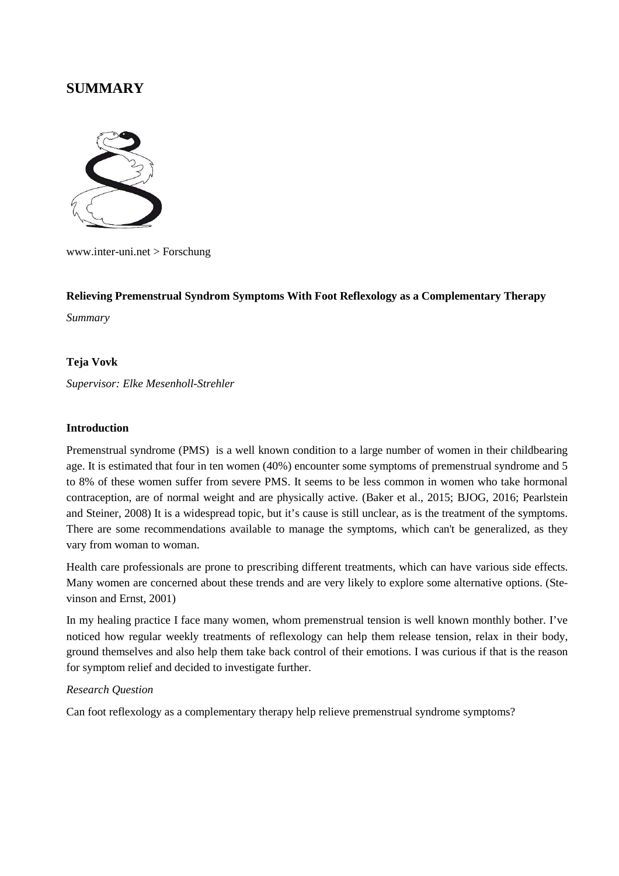# **SUMMARY**



www.inter-uni.net > Forschung

#### **Relieving Premenstrual Syndrom Symptoms With Foot Reflexology as a Complementary Therapy**

*Summary*

#### **Teja Vovk**

*Supervisor: Elke Mesenholl-Strehler* 

### **Introduction**

Premenstrual syndrome (PMS) is a well known condition to a large number of women in their childbearing age. It is estimated that four in ten women (40%) encounter some symptoms of premenstrual syndrome and 5 to 8% of these women suffer from severe PMS. It seems to be less common in women who take hormonal contraception, are of normal weight and are physically active. (Baker et al., 2015; BJOG, 2016; Pearlstein and Steiner, 2008) It is a widespread topic, but it's cause is still unclear, as is the treatment of the symptoms. There are some recommendations available to manage the symptoms, which can't be generalized, as they vary from woman to woman.

Health care professionals are prone to prescribing different treatments, which can have various side effects. Many women are concerned about these trends and are very likely to explore some alternative options. (Stevinson and Ernst, 2001)

In my healing practice I face many women, whom premenstrual tension is well known monthly bother. I've noticed how regular weekly treatments of reflexology can help them release tension, relax in their body, ground themselves and also help them take back control of their emotions. I was curious if that is the reason for symptom relief and decided to investigate further.

#### *Research Question*

Can foot reflexology as a complementary therapy help relieve premenstrual syndrome symptoms?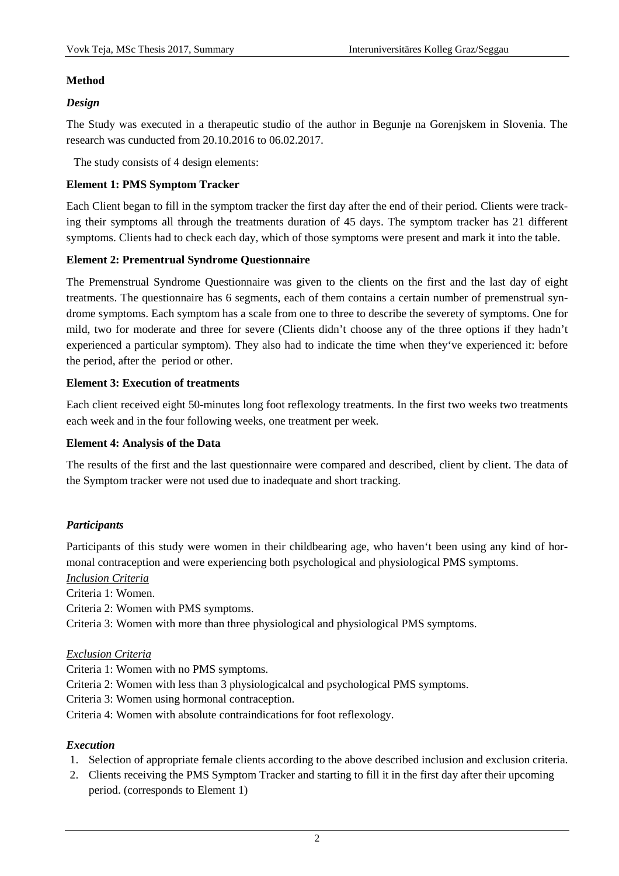# **Method**

# *Design*

The Study was executed in a therapeutic studio of the author in Begunje na Gorenjskem in Slovenia. The research was cunducted from 20.10.2016 to 06.02.2017.

The study consists of 4 design elements:

### **Element 1: PMS Symptom Tracker**

Each Client began to fill in the symptom tracker the first day after the end of their period. Clients were tracking their symptoms all through the treatments duration of 45 days. The symptom tracker has 21 different symptoms. Clients had to check each day, which of those symptoms were present and mark it into the table.

### **Element 2: Prementrual Syndrome Questionnaire**

The Premenstrual Syndrome Questionnaire was given to the clients on the first and the last day of eight treatments. The questionnaire has 6 segments, each of them contains a certain number of premenstrual syndrome symptoms. Each symptom has a scale from one to three to describe the severety of symptoms. One for mild, two for moderate and three for severe (Clients didn't choose any of the three options if they hadn't experienced a particular symptom). They also had to indicate the time when they've experienced it: before the period, after the period or other.

### **Element 3: Execution of treatments**

Each client received eight 50-minutes long foot reflexology treatments. In the first two weeks two treatments each week and in the four following weeks, one treatment per week.

### **Element 4: Analysis of the Data**

The results of the first and the last questionnaire were compared and described, client by client. The data of the Symptom tracker were not used due to inadequate and short tracking.

# *Participants*

Participants of this study were women in their childbearing age, who haven't been using any kind of hormonal contraception and were experiencing both psychological and physiological PMS symptoms.

*Inclusion Criteria*

Criteria 1: Women.

Criteria 2: Women with PMS symptoms.

Criteria 3: Women with more than three physiological and physiological PMS symptoms.

# *Exclusion Criteria*

Criteria 1: Women with no PMS symptoms.

- Criteria 2: Women with less than 3 physiologicalcal and psychological PMS symptoms.
- Criteria 3: Women using hormonal contraception.

Criteria 4: Women with absolute contraindications for foot reflexology.

### *Execution*

- 1. Selection of appropriate female clients according to the above described inclusion and exclusion criteria.
- 2. Clients receiving the PMS Symptom Tracker and starting to fill it in the first day after their upcoming period. (corresponds to Element 1)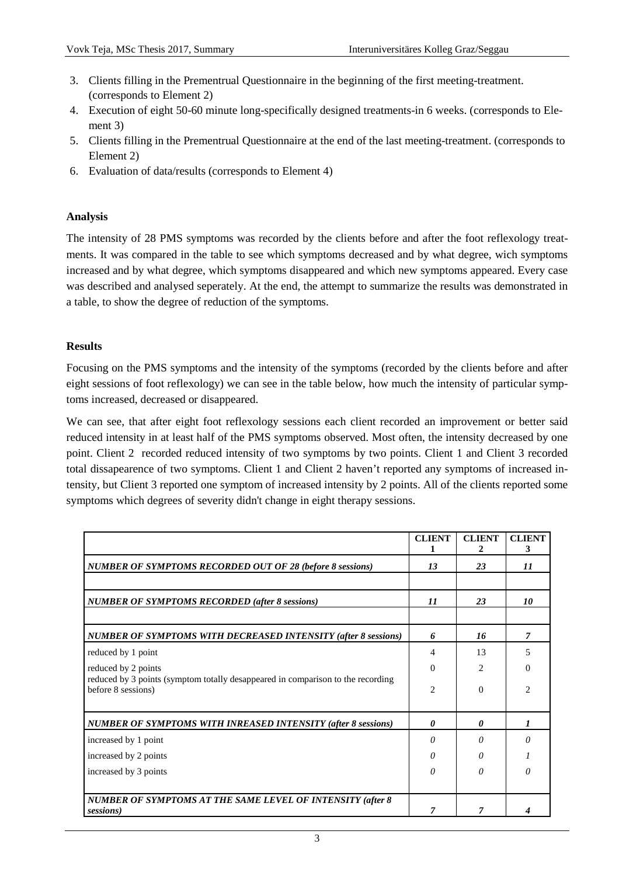- 3. Clients filling in the Prementrual Questionnaire in the beginning of the first meeting-treatment. (corresponds to Element 2)
- 4. Execution of eight 50-60 minute long-specifically designed treatments-in 6 weeks. (corresponds to Element 3)
- 5. Clients filling in the Prementrual Questionnaire at the end of the last meeting-treatment. (corresponds to Element 2)
- 6. Evaluation of data/results (corresponds to Element 4)

### **Analysis**

The intensity of 28 PMS symptoms was recorded by the clients before and after the foot reflexology treatments. It was compared in the table to see which symptoms decreased and by what degree, wich symptoms increased and by what degree, which symptoms disappeared and which new symptoms appeared. Every case was described and analysed seperately. At the end, the attempt to summarize the results was demonstrated in a table, to show the degree of reduction of the symptoms.

### **Results**

Focusing on the PMS symptoms and the intensity of the symptoms (recorded by the clients before and after eight sessions of foot reflexology) we can see in the table below, how much the intensity of particular symptoms increased, decreased or disappeared.

We can see, that after eight foot reflexology sessions each client recorded an improvement or better said reduced intensity in at least half of the PMS symptoms observed. Most often, the intensity decreased by one point. Client 2 recorded reduced intensity of two symptoms by two points. Client 1 and Client 3 recorded total dissapearence of two symptoms. Client 1 and Client 2 haven't reported any symptoms of increased intensity, but Client 3 reported one symptom of increased intensity by 2 points. All of the clients reported some symptoms which degrees of severity didn't change in eight therapy sessions.

|                                                                                                       | <b>CLIENT</b> | <b>CLIENT</b><br>2 | <b>CLIENT</b><br>3 |
|-------------------------------------------------------------------------------------------------------|---------------|--------------------|--------------------|
| NUMBER OF SYMPTOMS RECORDED OUT OF 28 (before 8 sessions)                                             | 13            | 23                 | 11                 |
|                                                                                                       |               |                    |                    |
| <b>NUMBER OF SYMPTOMS RECORDED (after 8 sessions)</b>                                                 | 11            | 23                 | 10                 |
|                                                                                                       |               |                    |                    |
| <b>NUMBER OF SYMPTOMS WITH DECREASED INTENSITY (after 8 sessions)</b>                                 | 6             | 16                 | 7                  |
| reduced by 1 point                                                                                    | 4             | 13                 | 5                  |
| reduced by 2 points                                                                                   | 0             | $\mathfrak{D}$     | 0                  |
| reduced by 3 points (symptom totally desappeared in comparison to the recording<br>before 8 sessions) | 2             | $\Omega$           | 2                  |
| <b>NUMBER OF SYMPTOMS WITH INREASED INTENSITY (after 8 sessions)</b>                                  | $\theta$      | 0                  |                    |
| increased by 1 point                                                                                  | $\theta$      | O                  | 0                  |
| increased by 2 points                                                                                 | 0             | 0                  |                    |
| increased by 3 points                                                                                 | 0             | 0                  | Ω                  |
|                                                                                                       |               |                    |                    |
| NUMBER OF SYMPTOMS AT THE SAME LEVEL OF INTENSITY (after 8<br>sessions)                               | 7             | 7                  |                    |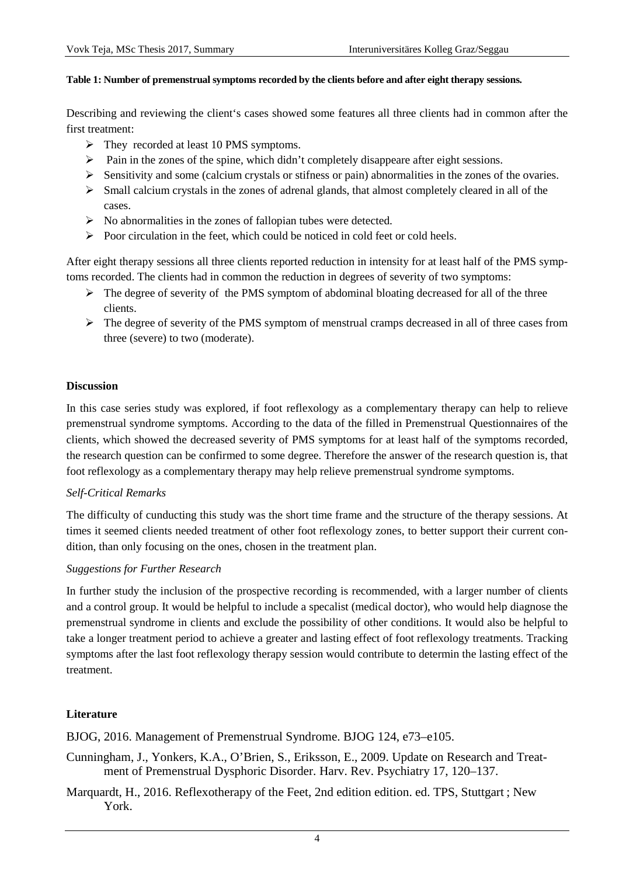#### **Table 1: Number of premenstrual symptoms recorded by the clients before and after eight therapy sessions.**

Describing and reviewing the client's cases showed some features all three clients had in common after the first treatment:

- > They recorded at least 10 PMS symptoms.
- $\triangleright$  Pain in the zones of the spine, which didn't completely disappeare after eight sessions.
- Sensitivity and some (calcium crystals or stifness or pain) abnormalities in the zones of the ovaries.
- $\triangleright$  Small calcium crystals in the zones of adrenal glands, that almost completely cleared in all of the cases.
- $\triangleright$  No abnormalities in the zones of fallopian tubes were detected.
- $\triangleright$  Poor circulation in the feet, which could be noticed in cold feet or cold heels.

After eight therapy sessions all three clients reported reduction in intensity for at least half of the PMS symptoms recorded. The clients had in common the reduction in degrees of severity of two symptoms:

- $\triangleright$  The degree of severity of the PMS symptom of abdominal bloating decreased for all of the three clients.
- $\triangleright$  The degree of severity of the PMS symptom of menstrual cramps decreased in all of three cases from three (severe) to two (moderate).

### **Discussion**

In this case series study was explored, if foot reflexology as a complementary therapy can help to relieve premenstrual syndrome symptoms. According to the data of the filled in Premenstrual Questionnaires of the clients, which showed the decreased severity of PMS symptoms for at least half of the symptoms recorded, the research question can be confirmed to some degree. Therefore the answer of the research question is, that foot reflexology as a complementary therapy may help relieve premenstrual syndrome symptoms.

### *Self-Critical Remarks*

The difficulty of cunducting this study was the short time frame and the structure of the therapy sessions. At times it seemed clients needed treatment of other foot reflexology zones, to better support their current condition, than only focusing on the ones, chosen in the treatment plan.

### *Suggestions for Further Research*

In further study the inclusion of the prospective recording is recommended, with a larger number of clients and a control group. It would be helpful to include a specalist (medical doctor), who would help diagnose the premenstrual syndrome in clients and exclude the possibility of other conditions. It would also be helpful to take a longer treatment period to achieve a greater and lasting effect of foot reflexology treatments. Tracking symptoms after the last foot reflexology therapy session would contribute to determin the lasting effect of the treatment.

### **Literature**

BJOG, 2016. Management of Premenstrual Syndrome. BJOG 124, e73–e105.

- Cunningham, J., Yonkers, K.A., O'Brien, S., Eriksson, E., 2009. Update on Research and Treatment of Premenstrual Dysphoric Disorder. Harv. Rev. Psychiatry 17, 120–137.
- Marquardt, H., 2016. Reflexotherapy of the Feet, 2nd edition edition. ed. TPS, Stuttgart ; New York.